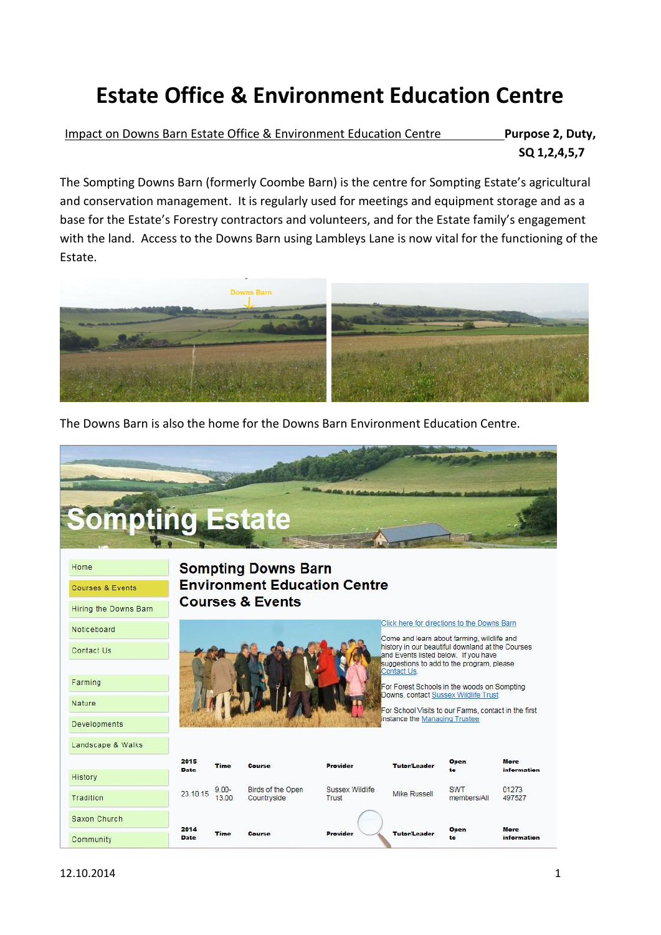## **Estate Office & Environment Education Centre**

Impact on Downs Barn Estate Office & Environment Education Centre **Purpose 2, Duty, SQ 1,2,4,5,7**

The Sompting Downs Barn (formerly Coombe Barn) is the centre for Sompting Estate's agricultural and conservation management. It is regularly used for meetings and equipment storage and as a base for the Estate's Forestry contractors and volunteers, and for the Estate family's engagement with the land. Access to the Downs Barn using Lambleys Lane is now vital for the functioning of the Estate.



The Downs Barn is also the home for the Downs Barn Environment Education Centre.